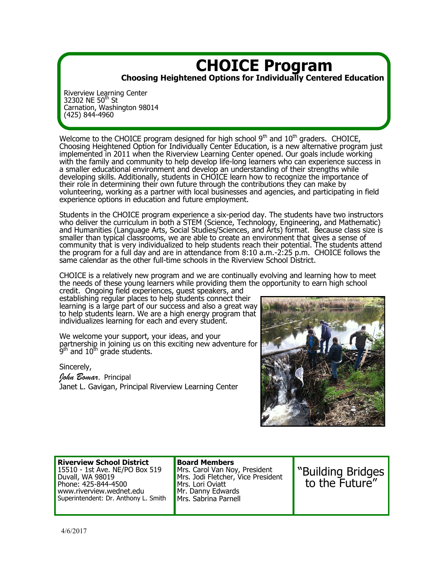## **CHOICE Program Choosing Heightened Options for Individually Centered Education**

Riverview Learning Center 32302 NE 50<sup>th</sup> St Carnation, Washington 98014 (425) 844-4960

Welcome to the CHOICE program designed for high school  $9<sup>th</sup>$  and  $10<sup>th</sup>$  graders. CHOICE, Choosing Heightened Option for Individually Center Education, is a new alternative program just implemented in 2011 when the Riverview Learning Center opened. Our goals include working with the family and community to help develop life-long learners who can experience success in a smaller educational environment and develop an understanding of their strengths while developing skills. Additionally, students in CHOICE learn how to recognize the importance of their role in determining their own future through the contributions they can make by volunteering, working as a partner with local businesses and agencies, and participating in field experience options in education and future employment.

Students in the CHOICE program experience a six-period day. The students have two instructors who deliver the curriculum in both a STEM (Science, Technology, Engineering, and Mathematic) and Humanities (Language Arts, Social Studies/Sciences, and Arts) format. Because class size is smaller than typical classrooms, we are able to create an environment that gives a sense of community that is very individualized to help students reach their potential. The students attend the program for a full day and are in attendance from 8:10 a.m.-2:25 p.m. CHOICE follows the same calendar as the other full-time schools in the Riverview School District.

CHOICE is a relatively new program and we are continually evolving and learning how to meet the needs of these young learners while providing them the opportunity to earn high school

credit. Ongoing field experiences, guest speakers, and establishing regular places to help students connect their learning is a large part of our success and also a great way to help students learn. We are a high energy program that individualizes learning for each and every student.

We welcome your support, your ideas, and your partnership in joining us on this exciting new adventure for  $9<sup>th</sup>$  and  $10<sup>th</sup>$  grade students.

Sincerely,

*John Bomar,* Principal Janet L. Gavigan, Principal Riverview Learning Center



#### **Riverview School District** 15510 - 1st Ave. NE/PO Box 519 Duvall, WA 98019 Phone: 425-844-4500 www.riverview.wednet.edu Superintendent: Dr. Anthony L. Smith

**Board Members** Mrs. Carol Van Noy, President Mrs. Jodi Fletcher, Vice President Mrs. Lori Oviatt Mr. Danny Edwards Mrs. Sabrina Parnell

"Building Bridges to the Future"